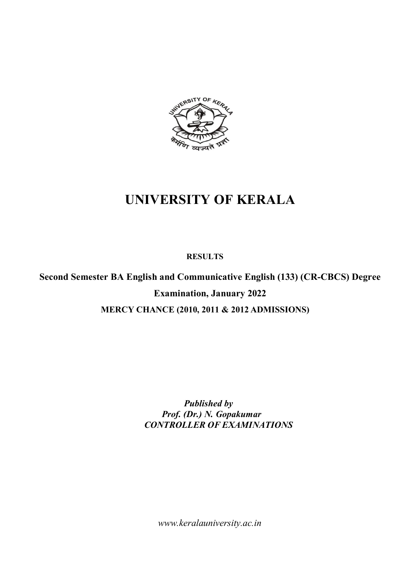

# **UNIVERSITY OF KERALA**

 **RESULTS**

**Second Semester BA English and Communicative English (133) (CR-CBCS) Degree Examination, January 2022 MERCY CHANCE (2010, 2011 & 2012 ADMISSIONS)**

> *Published by Prof. (Dr.) N. Gopakumar CONTROLLER OF EXAMINATIONS*

*www.keralauniversity.ac.in*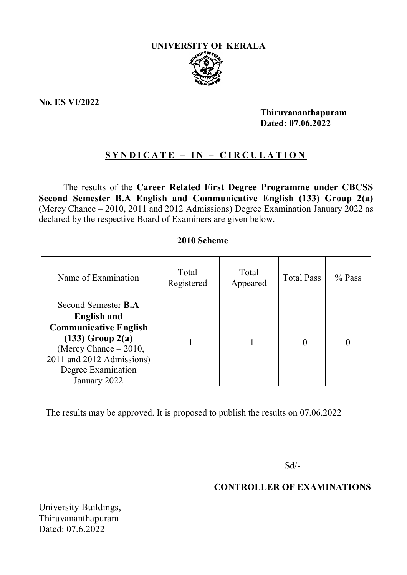

**No. ES VI/2022** 

**Thiruvananthapuram Dated: 07.06.2022**

# **S Y N D I C A T E – I N – C I R C U L A T I O N**

The results of the **Career Related First Degree Programme under CBCSS Second Semester B.A English and Communicative English (133) Group 2(a)**  (Mercy Chance – 2010, 2011 and 2012 Admissions) Degree Examination January 2022 as declared by the respective Board of Examiners are given below.

### **2010 Scheme**

| Name of Examination                                                                                                                                                                                  | Total<br>Registered | Total<br>Appeared | <b>Total Pass</b> | $\%$ Pass |
|------------------------------------------------------------------------------------------------------------------------------------------------------------------------------------------------------|---------------------|-------------------|-------------------|-----------|
| Second Semester <b>B.A</b><br><b>English and</b><br><b>Communicative English</b><br>$(133)$ Group $2(a)$<br>(Mercy Chance - 2010,<br>2011 and 2012 Admissions)<br>Degree Examination<br>January 2022 |                     |                   |                   |           |

The results may be approved. It is proposed to publish the results on 07.06.2022

Sd/-

## **CONTROLLER OF EXAMINATIONS**

University Buildings, Thiruvananthapuram Dated: 07.6.2022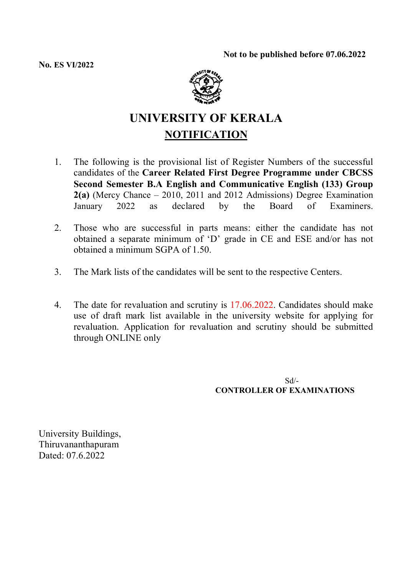**No. ES VI/2022**



# **UNIVERSITY OF KERALA NOTIFICATION**

- 1. The following is the provisional list of Register Numbers of the successful candidates of the **Career Related First Degree Programme under CBCSS Second Semester B.A English and Communicative English (133) Group 2(a)** (Mercy Chance – 2010, 2011 and 2012 Admissions) Degree Examination January 2022 as declared by the Board of Examiners.
- 2. Those who are successful in parts means: either the candidate has not obtained a separate minimum of 'D' grade in CE and ESE and/or has not obtained a minimum SGPA of 1.50.
- 3. The Mark lists of the candidates will be sent to the respective Centers.
- 4. The date for revaluation and scrutiny is 17.06.2022. Candidates should make use of draft mark list available in the university website for applying for revaluation. Application for revaluation and scrutiny should be submitted through ONLINE only

Sd/- **CONTROLLER OF EXAMINATIONS**

University Buildings, Thiruvananthapuram Dated: 07.6.2022